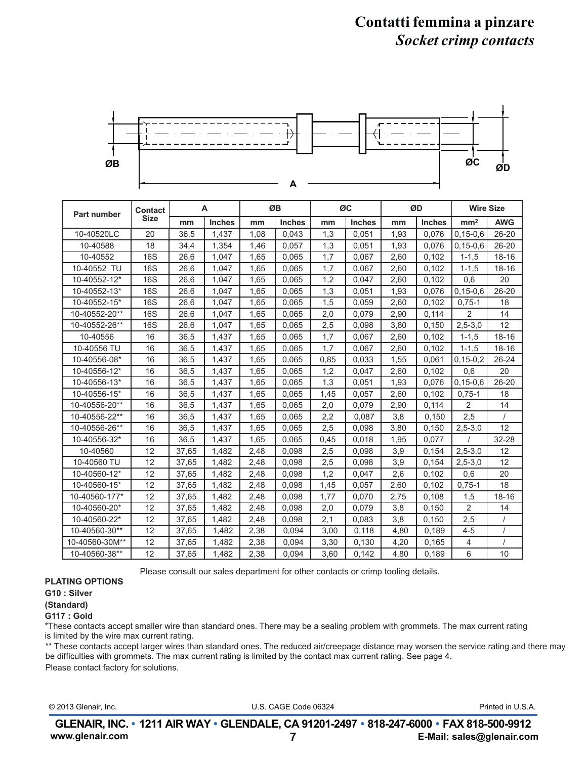## **Contatti femmina a pinzare** *Socket crimp contacts*



| Part number    | <b>Contact</b> | A     |               | ØB   |               | ØC   |               | ØD   |               | <b>Wire Size</b> |                |
|----------------|----------------|-------|---------------|------|---------------|------|---------------|------|---------------|------------------|----------------|
| <b>Size</b>    |                | mm    | <b>Inches</b> | mm   | <b>Inches</b> | mm   | <b>Inches</b> | mm   | <b>Inches</b> | mm <sup>2</sup>  | <b>AWG</b>     |
| 10-40520LC     | 20             | 36,5  | 1,437         | 1.08 | 0,043         | 1,3  | 0.051         | 1,93 | 0.076         | $0, 15 - 0, 6$   | $26 - 20$      |
| 10-40588       | 18             | 34,4  | 1,354         | 1,46 | 0,057         | 1,3  | 0,051         | 1,93 | 0,076         | $0, 15 - 0, 6$   | $26 - 20$      |
| 10-40552       | <b>16S</b>     | 26,6  | 1,047         | 1,65 | 0,065         | 1,7  | 0,067         | 2,60 | 0,102         | $1 - 1.5$        | $18 - 16$      |
| 10-40552 TU    | <b>16S</b>     | 26,6  | 1,047         | 1,65 | 0,065         | 1,7  | 0,067         | 2,60 | 0,102         | $1 - 1.5$        | $18 - 16$      |
| 10-40552-12*   | <b>16S</b>     | 26,6  | 1.047         | 1,65 | 0,065         | 1,2  | 0.047         | 2,60 | 0,102         | 0,6              | 20             |
| 10-40552-13*   | <b>16S</b>     | 26,6  | 1,047         | 1,65 | 0,065         | 1,3  | 0,051         | 1,93 | 0,076         | $0, 15 - 0, 6$   | $26 - 20$      |
| 10-40552-15*   | <b>16S</b>     | 26,6  | 1,047         | 1,65 | 0,065         | 1,5  | 0,059         | 2,60 | 0,102         | $0,75-1$         | 18             |
| 10-40552-20**  | <b>16S</b>     | 26,6  | 1,047         | 1,65 | 0,065         | 2,0  | 0,079         | 2,90 | 0.114         | $\overline{2}$   | 14             |
| 10-40552-26**  | <b>16S</b>     | 26,6  | 1,047         | 1,65 | 0,065         | 2,5  | 0,098         | 3,80 | 0,150         | $2,5-3,0$        | 12             |
| 10-40556       | 16             | 36,5  | 1,437         | 1,65 | 0,065         | 1,7  | 0,067         | 2,60 | 0,102         | $1 - 1.5$        | $18 - 16$      |
| 10-40556 TU    | 16             | 36,5  | 1,437         | 1,65 | 0,065         | 1,7  | 0,067         | 2,60 | 0,102         | $1 - 1.5$        | $18 - 16$      |
| 10-40556-08*   | 16             | 36,5  | 1.437         | 1.65 | 0.065         | 0,85 | 0.033         | 1,55 | 0.061         | $0, 15 - 0.2$    | $26 - 24$      |
| 10-40556-12*   | 16             | 36,5  | 1,437         | 1,65 | 0,065         | 1,2  | 0,047         | 2,60 | 0,102         | 0,6              | 20             |
| 10-40556-13*   | 16             | 36,5  | 1,437         | 1,65 | 0.065         | 1,3  | 0,051         | 1,93 | 0,076         | $0, 15 - 0, 6$   | $26 - 20$      |
| 10-40556-15*   | 16             | 36,5  | 1,437         | 1.65 | 0,065         | 1,45 | 0,057         | 2,60 | 0.102         | $0,75-1$         | 18             |
| 10-40556-20**  | 16             | 36,5  | 1,437         | 1.65 | 0.065         | 2,0  | 0.079         | 2,90 | 0,114         | 2                | 14             |
| 10-40556-22**  | 16             | 36,5  | 1,437         | 1,65 | 0,065         | 2,2  | 0,087         | 3,8  | 0.150         | 2,5              |                |
| 10-40556-26**  | 16             | 36,5  | 1,437         | 1,65 | 0,065         | 2,5  | 0,098         | 3,80 | 0,150         | $2,5-3,0$        | 12             |
| 10-40556-32*   | 16             | 36,5  | 1,437         | 1.65 | 0.065         | 0,45 | 0.018         | 1,95 | 0,077         |                  | 32-28          |
| 10-40560       | 12             | 37,65 | 1,482         | 2,48 | 0,098         | 2,5  | 0,098         | 3,9  | 0.154         | $2,5 - 3,0$      | 12             |
| 10-40560 TU    | 12             | 37,65 | 1,482         | 2,48 | 0,098         | 2,5  | 0,098         | 3,9  | 0,154         | $2,5-3,0$        | 12             |
| 10-40560-12*   | 12             | 37,65 | 1,482         | 2,48 | 0,098         | 1,2  | 0,047         | 2,6  | 0,102         | 0,6              | 20             |
| 10-40560-15*   | 12             | 37,65 | 1,482         | 2,48 | 0,098         | 1,45 | 0,057         | 2,60 | 0,102         | $0,75-1$         | 18             |
| 10-40560-177*  | 12             | 37,65 | 1,482         | 2,48 | 0,098         | 1,77 | 0,070         | 2,75 | 0,108         | 1,5              | 18-16          |
| 10-40560-20*   | 12             | 37,65 | 1,482         | 2,48 | 0,098         | 2,0  | 0,079         | 3,8  | 0,150         | $\overline{2}$   | 14             |
| 10-40560-22*   | 12             | 37,65 | 1,482         | 2,48 | 0,098         | 2,1  | 0,083         | 3,8  | 0,150         | 2,5              |                |
| 10-40560-30**  | 12             | 37,65 | 1,482         | 2,38 | 0.094         | 3,00 | 0,118         | 4,80 | 0.189         | $4 - 5$          | $\overline{I}$ |
| 10-40560-30M** | 12             | 37,65 | 1,482         | 2,38 | 0,094         | 3,30 | 0,130         | 4,20 | 0,165         | 4                |                |
| 10-40560-38**  | 12             | 37,65 | 1,482         | 2,38 | 0,094         | 3,60 | 0,142         | 4,80 | 0,189         | 6                | 10             |

Please consult our sales department for other contacts or crimp tooling details.

### **PLATING OPTIONS**

**G10 : Silver** 

#### **(Standard)**

## **G117 : Gold**

\*These contacts accept smaller wire than standard ones. There may be a sealing problem with grommets. The max current rating is limited by the wire max current rating.

\*\* These contacts accept larger wires than standard ones. The reduced air/creepage distance may worsen the service rating and there may be difficulties with grommets. The max current rating is limited by the contact max cu Please contact factory for solutions.

U.S. CAGE Code 06324 © 2013 Glenair, Inc. Printed in U.S.A.